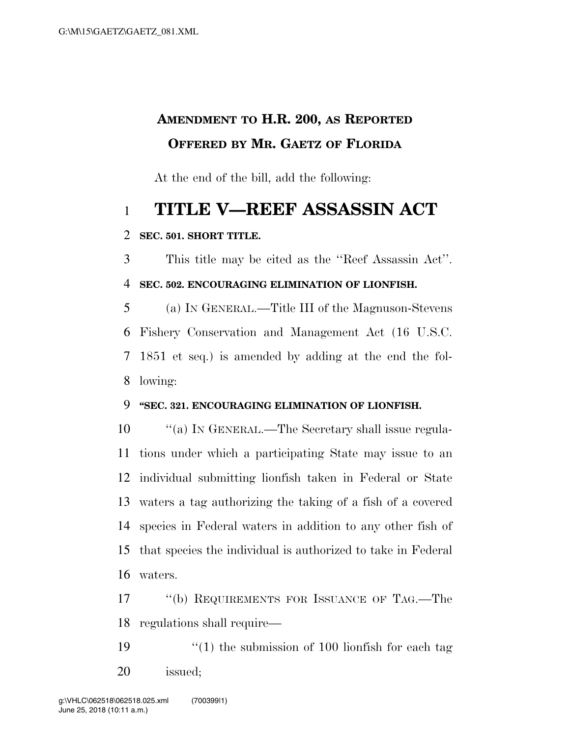## **AMENDMENT TO H.R. 200, AS REPORTED OFFERED BY MR. GAETZ OF FLORIDA**

At the end of the bill, add the following:

# **TITLE V—REEF ASSASSIN ACT**

#### **SEC. 501. SHORT TITLE.**

 This title may be cited as the ''Reef Assassin Act''. **SEC. 502. ENCOURAGING ELIMINATION OF LIONFISH.** 

 (a) IN GENERAL.—Title III of the Magnuson-Stevens Fishery Conservation and Management Act (16 U.S.C. 1851 et seq.) is amended by adding at the end the fol-lowing:

#### **''SEC. 321. ENCOURAGING ELIMINATION OF LIONFISH.**

10 "(a) IN GENERAL.—The Secretary shall issue regula- tions under which a participating State may issue to an individual submitting lionfish taken in Federal or State waters a tag authorizing the taking of a fish of a covered species in Federal waters in addition to any other fish of that species the individual is authorized to take in Federal waters.

 ''(b) REQUIREMENTS FOR ISSUANCE OF TAG.—The regulations shall require—

19  $\frac{1}{2}$  (1) the submission of 100 lionfish for each tag issued;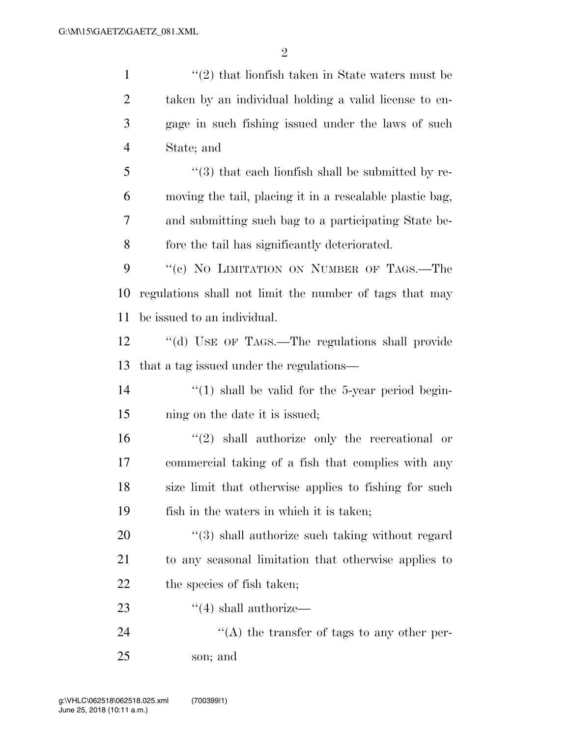| $\mathbf{1}$   | $\cdot\cdot(2)$ that lionfish taken in State waters must be   |
|----------------|---------------------------------------------------------------|
| $\overline{2}$ | taken by an individual holding a valid license to en-         |
| 3              | gage in such fishing issued under the laws of such            |
| $\overline{4}$ | State; and                                                    |
| 5              | $\cdot\cdot$ (3) that each lionfish shall be submitted by re- |
| 6              | moving the tail, placing it in a resealable plastic bag,      |
| 7              | and submitting such bag to a participating State be-          |
| 8              | fore the tail has significantly deteriorated.                 |
| 9              | "(c) NO LIMITATION ON NUMBER OF TAGS.—The                     |
| 10             | regulations shall not limit the number of tags that may       |
| 11             | be issued to an individual.                                   |
| 12             | "(d) USE OF TAGS.—The regulations shall provide               |
| 13             | that a tag issued under the regulations—                      |
| 14             | $\lq(1)$ shall be valid for the 5-year period begin-          |
| 15             | ning on the date it is issued;                                |
| 16             | $\lq(2)$ shall authorize only the recreational or             |
| 17             | commercial taking of a fish that complies with any            |
| 18             | size limit that otherwise applies to fishing for such         |
| 19             | fish in the waters in which it is taken;                      |
| 20             | $\cdot$ (3) shall authorize such taking without regard        |
| 21             | to any seasonal limitation that otherwise applies to          |
| 22             | the species of fish taken;                                    |
| 23             | $\cdot$ (4) shall authorize—                                  |
| 24             | $\lq\lq$ the transfer of tags to any other per-               |
| 25             | son; and                                                      |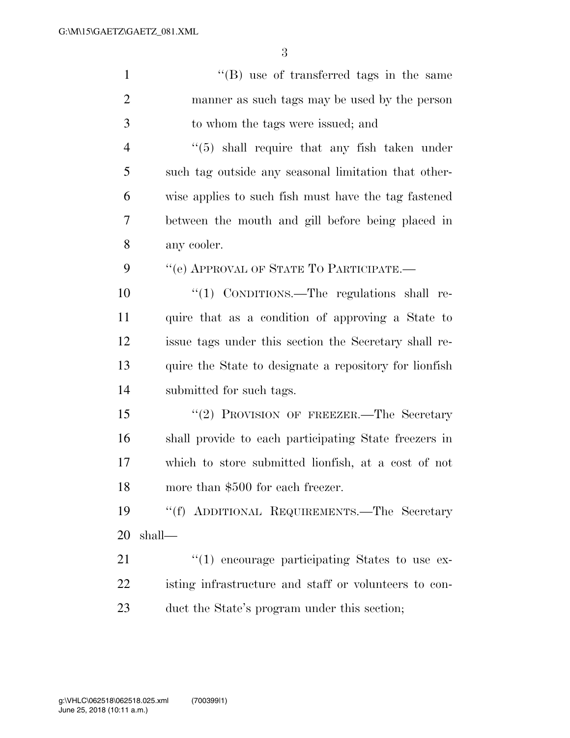| $\mathbf{1}$   | $\lq\lq$ use of transferred tags in the same             |
|----------------|----------------------------------------------------------|
| $\overline{2}$ | manner as such tags may be used by the person            |
| 3              | to whom the tags were issued; and                        |
| $\overline{4}$ | $\cdot\cdot$ (5) shall require that any fish taken under |
| 5              | such tag outside any seasonal limitation that other-     |
| 6              | wise applies to such fish must have the tag fastened     |
| 7              | between the mouth and gill before being placed in        |
| 8              | any cooler.                                              |
| 9              | "(e) APPROVAL OF STATE TO PARTICIPATE.-                  |
| 10             | "(1) CONDITIONS.—The regulations shall re-               |
| 11             | quire that as a condition of approving a State to        |
| 12             | issue tags under this section the Secretary shall re-    |
| 13             | quire the State to designate a repository for lionfish   |
| 14             | submitted for such tags.                                 |
| 15             | "(2) PROVISION OF FREEZER.—The Secretary                 |
| 16             | shall provide to each participating State freezers in    |
| 17             | which to store submitted lionfish, at a cost of not      |
| 18             | more than \$500 for each freezer.                        |
| 19             | "(f) ADDITIONAL REQUIREMENTS.—The Secretary              |
| 20             | shall—                                                   |
| 21             | $"(1)$ encourage participating States to use ex-         |
| 22             | isting infrastructure and staff or volunteers to con-    |
| 23             | duct the State's program under this section;             |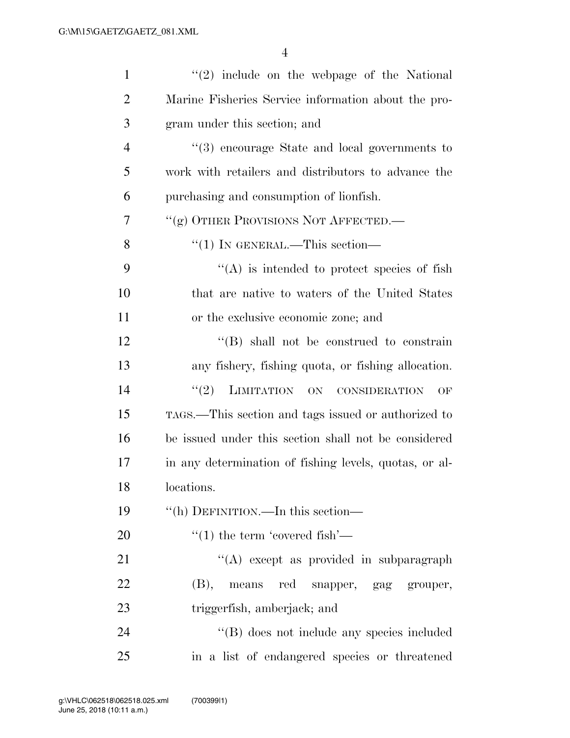| $\mathbf{1}$   | $(2)$ include on the webpage of the National           |
|----------------|--------------------------------------------------------|
| $\overline{2}$ | Marine Fisheries Service information about the pro-    |
| 3              | gram under this section; and                           |
| $\overline{4}$ | "(3) encourage State and local governments to          |
| 5              | work with retailers and distributors to advance the    |
| 6              | purchasing and consumption of lionfish.                |
| 7              | "(g) OTHER PROVISIONS NOT AFFECTED.                    |
| 8              | "(1) IN GENERAL.—This section—                         |
| 9              | $\lq\lq$ is intended to protect species of fish        |
| 10             | that are native to waters of the United States         |
| 11             | or the exclusive economic zone; and                    |
| 12             | $\lq\lq$ (B) shall not be construed to constrain       |
| 13             | any fishery, fishing quota, or fishing allocation.     |
| 14             | (2)<br>LIMITATION ON CONSIDERATION<br>OF               |
| 15             | TAGS.—This section and tags issued or authorized to    |
| 16             | be issued under this section shall not be considered   |
| 17             | in any determination of fishing levels, quotas, or al- |
| 18             | locations.                                             |
| 19             | "(h) DEFINITION.—In this section—                      |
| 20             | $\cdot$ (1) the term 'covered fish'—                   |
| 21             | "(A) except as provided in subparagraph                |
| 22             | (B),<br>red snapper, gag grouper,<br>means             |
| 23             | triggerfish, amberjack; and                            |
| 24             | "(B) does not include any species included             |
| 25             | in a list of endangered species or threatened          |